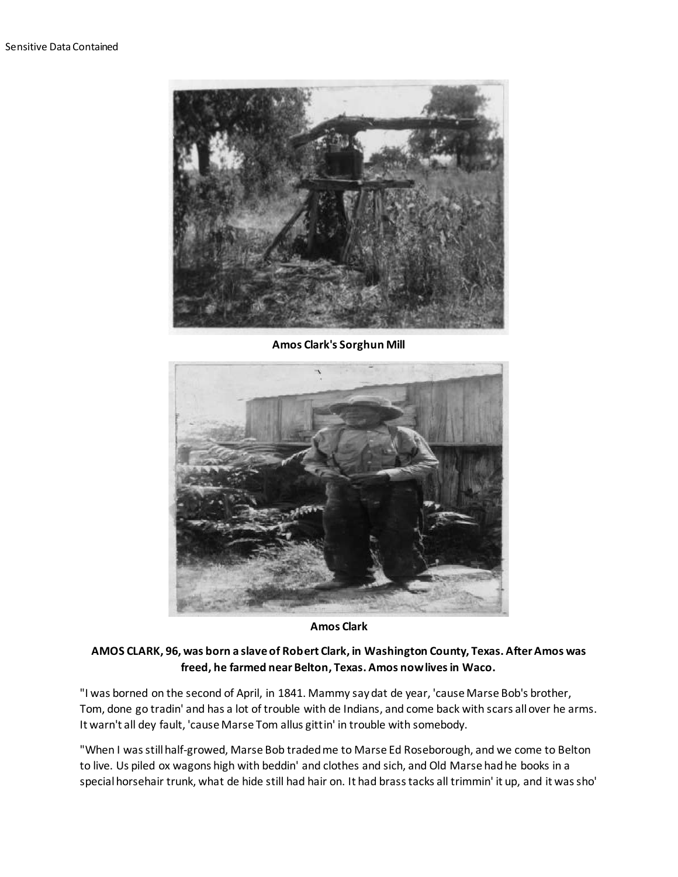

**Amos Clark's Sorghun Mill**



**Amos Clark**

## **AMOS CLARK, 96, was born a slave of Robert Clark, in Washington County, Texas. After Amos was freed, he farmed near Belton, Texas. Amos now lives in Waco.**

"I was borned on the second of April, in 1841. Mammy say dat de year, 'cause Marse Bob's brother, Tom, done go tradin' and has a lot of trouble with de Indians, and come back with scars all over he arms. It warn't all dey fault, 'cause Marse Tom allus gittin' in trouble with somebody.

"When I was still half-growed, Marse Bob traded me to Marse Ed Roseborough, and we come to Belton to live. Us piled ox wagons high with beddin' and clothes and sich, and Old Marse had he books in a special horsehair trunk, what de hide still had hair on. It had brass tacks all trimmin' it up, and it was sho'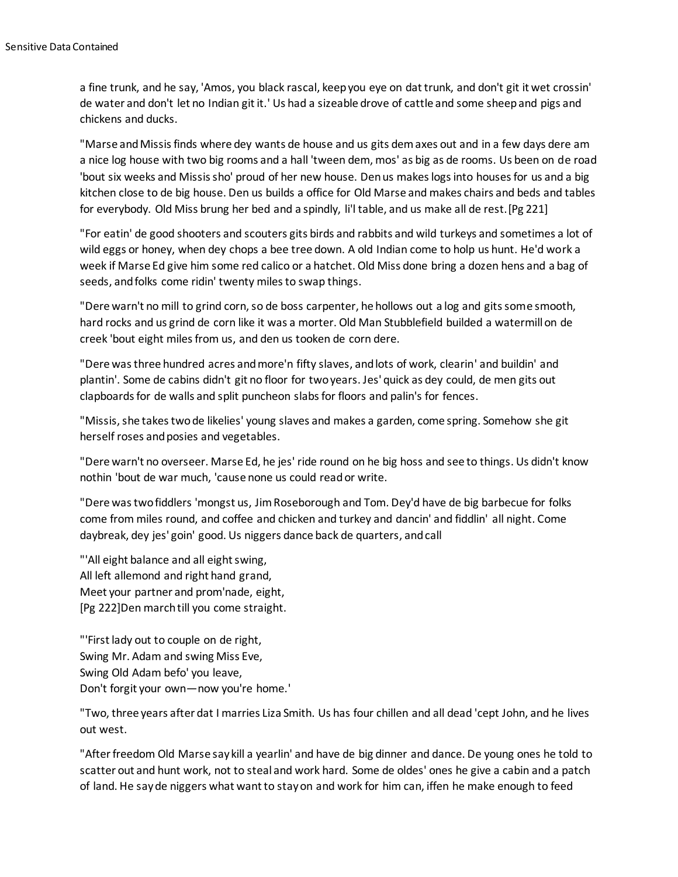a fine trunk, and he say, 'Amos, you black rascal, keep you eye on dat trunk, and don't git it wet crossin' de water and don't let no Indian git it.' Us had a sizeable drove of cattle and some sheep and pigs and chickens and ducks.

"Marse and Missis finds where dey wants de house and us gits dem axes out and in a few days dere am a nice log house with two big rooms and a hall 'tween dem, mos' as big as de rooms. Us been on de road 'bout six weeks and Missis sho' proud of her new house. Den us makes logs into houses for us and a big kitchen close to de big house. Den us builds a office for Old Marse and makes chairs and beds and tables for everybody. Old Miss brung her bed and a spindly, li'l table, and us make all de rest.[Pg 221]

"For eatin' de good shooters and scouters gits birds and rabbits and wild turkeys and sometimes a lot of wild eggs or honey, when dey chops a bee tree down. A old Indian come to holp us hunt. He'd work a week if Marse Ed give him some red calico or a hatchet. Old Miss done bring a dozen hens and a bag of seeds, and folks come ridin' twenty miles to swap things.

"Dere warn't no mill to grind corn, so de boss carpenter, he hollows out a log and gits some smooth, hard rocks and us grind de corn like it was a morter. Old Man Stubblefield builded a watermill on de creek 'bout eight miles from us, and den us tooken de corn dere.

"Dere was three hundred acres and more'n fifty slaves, and lots of work, clearin' and buildin' and plantin'. Some de cabins didn't git no floor for two years. Jes' quick as dey could, de men gits out clapboards for de walls and split puncheon slabs for floors and palin's for fences.

"Missis, she takes two de likelies' young slaves and makes a garden, come spring. Somehow she git herself roses and posies and vegetables.

"Dere warn't no overseer. Marse Ed, he jes' ride round on he big hoss and see to things. Us didn't know nothin 'bout de war much, 'cause none us could read or write.

"Dere was two fiddlers 'mongst us, Jim Roseborough and Tom. Dey'd have de big barbecue for folks come from miles round, and coffee and chicken and turkey and dancin' and fiddlin' all night. Come daybreak, dey jes' goin' good. Us niggers dance back de quarters, and call

"'All eight balance and all eight swing, All left allemond and right hand grand, Meet your partner and prom'nade, eight, [Pg 222]Den march till you come straight.

"'First lady out to couple on de right, Swing Mr. Adam and swing Miss Eve, Swing Old Adam befo' you leave, Don't forgit your own—now you're home.'

"Two, three years after dat I marries Liza Smith. Us has four chillen and all dead 'cept John, and he lives out west.

"After freedom Old Marse say kill a yearlin' and have de big dinner and dance. De young ones he told to scatter out and hunt work, not to steal and work hard. Some de oldes' ones he give a cabin and a patch of land. He say de niggers what want to stay on and work for him can, iffen he make enough to feed